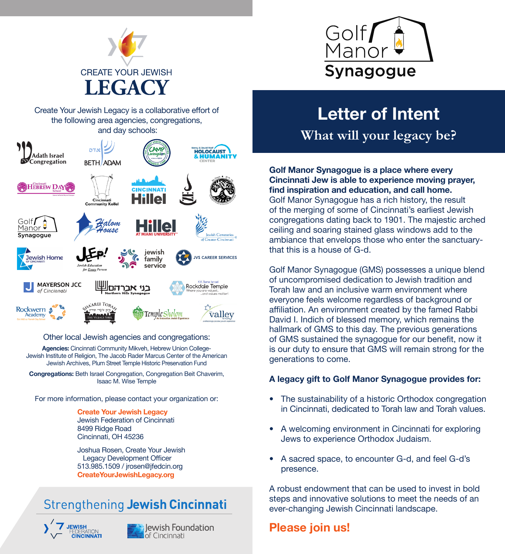



Create Your Jewish Legacy is a collaborative effort of the following area agencies, congregations, and day schools:



#### Other local Jewish agencies and congregations:

**Agencies:** Cincinnati Community Mikveh, Hebrew Union College-Jewish Institute of Religion, The Jacob Rader Marcus Center of the American Jewish Archives, Plum Street Temple Historic Preservation Fund

**Congregations:** Beth Israel Congregation, Congregation Beit Chaverim, Isaac M. Wise Temple

For more information, please contact your organization or:

**Create Your Jewish Legacy** Jewish Federation of Cincinnati 8499 Ridge Road Cincinnati, OH 45236

Joshua Rosen, Create Your Jewish Legacy Development Officer 513.985.1509 / jrosen@jfedcin.org **CreateYourJewishLegacy.org**

## **Strengthening Jewish Cincinnati**





Jewish Foundation of Cincinnati

# **Letter of Intent**

**What will your legacy be?**

**Golf Manor Synagogue is a place where every Cincinnati Jew is able to experience moving prayer, find inspiration and education, and call home.** Golf Manor Synagogue has a rich history, the result of the merging of some of Cincinnati's earliest Jewish congregations dating back to 1901. The majestic arched ceiling and soaring stained glass windows add to the ambiance that envelops those who enter the sanctuarythat this is a house of G-d.

Golf Manor Synagogue (GMS) possesses a unique blend of uncompromised dedication to Jewish tradition and Torah law and an inclusive warm environment where everyone feels welcome regardless of background or affiliation. An environment created by the famed Rabbi David I. Indich of blessed memory, which remains the hallmark of GMS to this day. The previous generations of GMS sustained the synagogue for our benefit, now it is our duty to ensure that GMS will remain strong for the generations to come.

### **A legacy gift to Golf Manor Synagogue provides for:**

- � The sustainability of a historic Orthodox congregation in Cincinnati, dedicated to Torah law and Torah values.
- � A welcoming environment in Cincinnati for exploring Jews to experience Orthodox Judaism.
- � A sacred space, to encounter G-d, and feel G-d's presence.

A robust endowment that can be used to invest in bold steps and innovative solutions to meet the needs of an ever-changing Jewish Cincinnati landscape.

## **Please join us!**